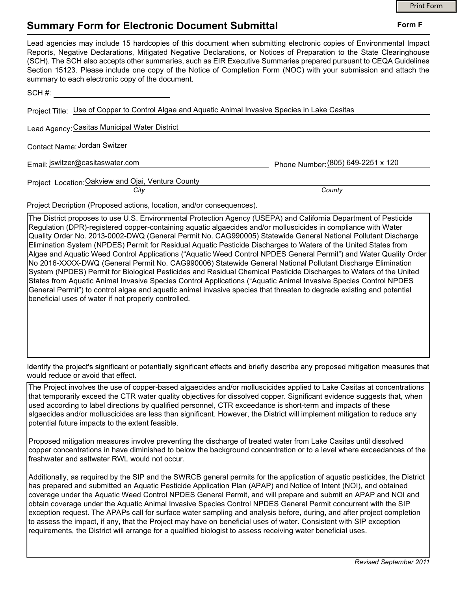Form F

## Summary Form for Electronic Document Submittal

| Lead agencies may include 15 hardcopies of this document when submitting electronic copies of Environmental Impact<br>Reports, Negative Declarations, Mitigated Negative Declarations, or Notices of Preparation to the State Clearinghouse<br>(SCH). The SCH also accepts other summaries, such as EIR Executive Summaries prepared pursuant to CEQA Guidelines<br>Section 15123. Please include one copy of the Notice of Completion Form (NOC) with your submission and attach the<br>summary to each electronic copy of the document. |                                    |
|-------------------------------------------------------------------------------------------------------------------------------------------------------------------------------------------------------------------------------------------------------------------------------------------------------------------------------------------------------------------------------------------------------------------------------------------------------------------------------------------------------------------------------------------|------------------------------------|
| SCH #:                                                                                                                                                                                                                                                                                                                                                                                                                                                                                                                                    |                                    |
| Project Title: Use of Copper to Control Algae and Aquatic Animal Invasive Species in Lake Casitas                                                                                                                                                                                                                                                                                                                                                                                                                                         |                                    |
| Lead Agency: Casitas Municipal Water District                                                                                                                                                                                                                                                                                                                                                                                                                                                                                             |                                    |
| Contact Name: Jordan Switzer                                                                                                                                                                                                                                                                                                                                                                                                                                                                                                              |                                    |
| Email: jswitzer@casitaswater.com                                                                                                                                                                                                                                                                                                                                                                                                                                                                                                          | Phone Number: (805) 649-2251 x 120 |
| Project Location: Oakview and Ojai, Ventura County                                                                                                                                                                                                                                                                                                                                                                                                                                                                                        |                                    |
| City                                                                                                                                                                                                                                                                                                                                                                                                                                                                                                                                      | County                             |
| Project Decription (Proposed actions, location, and/or consequences).                                                                                                                                                                                                                                                                                                                                                                                                                                                                     |                                    |
| The District proposes to use U.S. Environmental Protection Agency (USEPA) and California Department of Pesticide                                                                                                                                                                                                                                                                                                                                                                                                                          |                                    |

Regulation (DPR)-registered copper-containing aquatic algaecides and/or molluscicides in compliance with Water Quality Order No. 2013-0002-DWQ (General Permit No. CAG990005) Statewide General National Pollutant Discharge Elimination System (NPDES) Permit for Residual Aquatic Pesticide Discharges to Waters of the United States from Algae and Aquatic Weed Control Applications ("Aquatic Weed Control NPDES General Permit") and Water Quality Order No 2016-XXXX-DWQ (General Permit No. CAG990006) Statewide General National Pollutant Discharge Elimination System (NPDES) Permit for Biological Pesticides and Residual Chemical Pesticide Discharges to Waters of the United States from Aquatic Animal Invasive Species Control Applications ("Aquatic Animal Invasive Species Control NPDES General Permit") to control algae and aquatic animal invasive species that threaten to degrade existing and potential beneficial uses of water if not properly controlled.

Identify the project's significant or potentially significant effects and briefly describe any proposed mitigation measures that would reduce or avoid that effect.

The Project involves the use of copper-based algaecides and/or molluscicides applied to Lake Casitas at concentrations that temporarily exceed the CTR water quality objectives for dissolved copper. Significant evidence suggests that, when used according to label directions by qualified personnel, CTR exceedance is short-term and impacts of these algaecides and/or molluscicides are less than significant. However, the District will implement mitigation to reduce any potential future impacts to the extent feasible.

Proposed mitigation measures involve preventing the discharge of treated water from Lake Casitas until dissolved copper concentrations in have diminished to below the background concentration or to a level where exceedances of the freshwater and saltwater RWL would not occur.

Additionally, as required by the SIP and the SWRCB general permits for the application of aquatic pesticides, the District has prepared and submitted an Aquatic Pesticide Application Plan (APAP) and Notice of Intent (NOI), and obtained coverage under the Aquatic Weed Control NPDES General Permit, and will prepare and submit an APAP and NOI and obtain coverage under the Aquatic Animal Invasive Species Control NPDES General Permit concurrent with the SIP exception request. The APAPs call for surface water sampling and analysis before, during, and after project completion to assess the impact, if any, that the Project may have on beneficial uses of water. Consistent with SIP exception requirements, the District will arrange for a qualified biologist to assess receiving water beneficial uses.